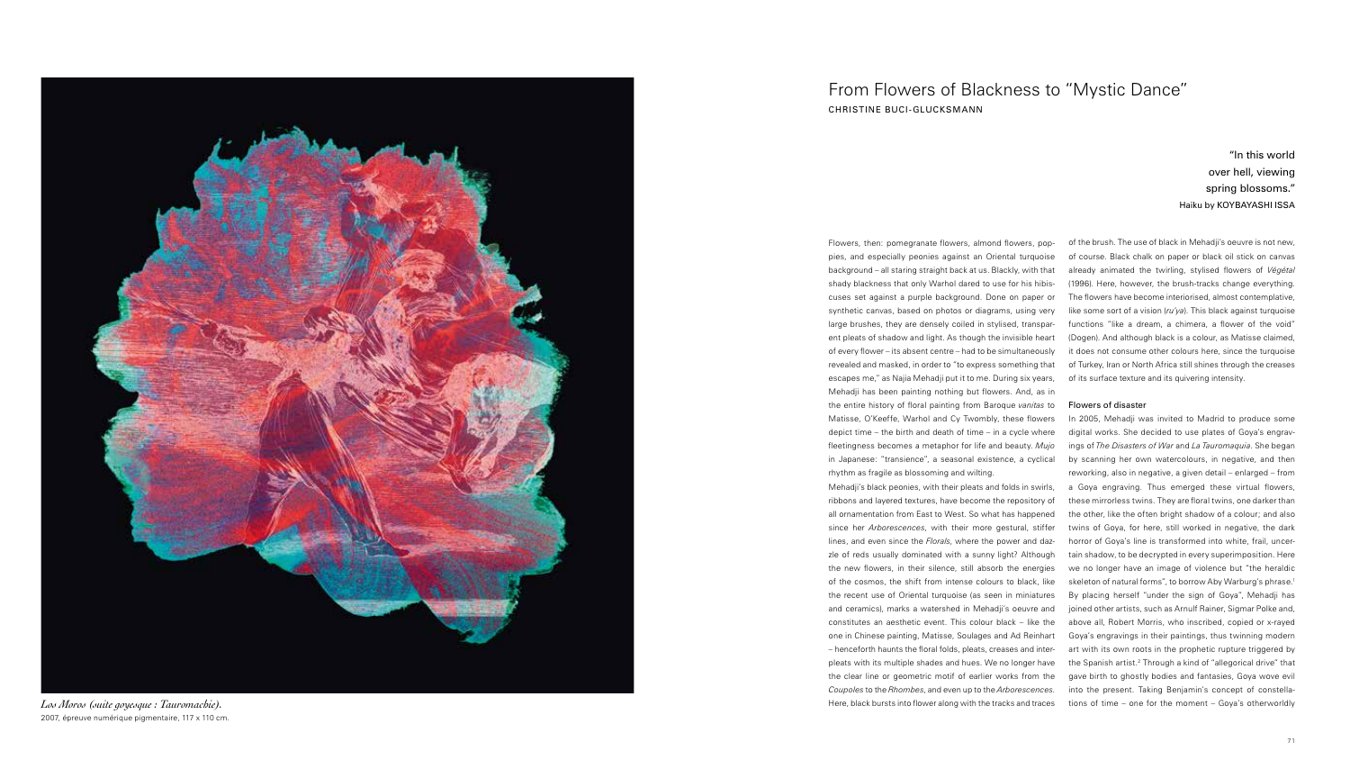

*Los Moros (suite goyesque : Tauromachie).*  2007, épreuve numérique pigmentaire, 117 x 110 cm. Flowers, then: pomegranate flowers, almond flowers, poppies, and especially peonies against an Oriental turquoise background – all staring straight back at us. Blackly, with that shady blackness that only Warhol dared to use for his hibiscuses set against a purple background. Done on paper or synthetic canvas, based on photos or diagrams, using very large brushes, they are densely coiled in stylised, transparent pleats of shadow and light. As though the invisible heart of every flower – its absent centre – had to be simultaneously revealed and masked, in order to "to express something that escapes me," as Najia Mehadji put it to me. During six years, Mehadji has been painting nothing but flowers. And, as in the entire history of floral painting from Baroque *vanitas* to Matisse, O'Keeffe, Warhol and Cy Twombly, these flowers depict time – the birth and death of time – in a cycle where fleetingness becomes a metaphor for life and beauty. *Mujo* in Japanese: "transience", a seasonal existence, a cyclical rhythm as fragile as blossoming and wilting.

Mehadji's black peonies, with their pleats and folds in swirls, ribbons and layered textures, have become the repository of all ornamentation from East to West. So what has happened since her *Arborescences*, with their more gestural, stiffer lines, and even since the *Florals*, where the power and dazzle of reds usually dominated with a sunny light? Although the new flowers, in their silence, still absorb the energies of the cosmos, the shift from intense colours to black, like the recent use of Oriental turquoise (as seen in miniatures and ceramics), marks a watershed in Mehadji's oeuvre and constitutes an aesthetic event. This colour black – like the one in Chinese painting, Matisse, Soulages and Ad Reinhart – henceforth haunts the floral folds, pleats, creases and interpleats with its multiple shades and hues. We no longer have the clear line or geometric motif of earlier works from the *Coupoles* to the *Rhombes*, and even up to the *Arborescences*. Here, black bursts into flower along with the tracks and traces

of the brush. The use of black in Mehadji's oeuvre is not new, of course. Black chalk on paper or black oil stick on canvas already animated the twirling, stylised flowers of *Végétal* (1996). Here, however, the brush-tracks change everything. The flowers have become interiorised, almost contemplative, like some sort of a vision (*ru'ya*). This black against turquoise functions "like a dream, a chimera, a flower of the void" (Dogen). And although black is a colour, as Matisse claimed, it does not consume other colours here, since the turquoise of Turkey, Iran or North Africa still shines through the creases of its surface texture and its quivering intensity.

#### Flowers of disaster

In 2005, Mehadji was invited to Madrid to produce some digital works. She decided to use plates of Goya's engravings of *The Disasters of War* and *La Tauromaquia*. She began by scanning her own watercolours, in negative, and then reworking, also in negative, a given detail – enlarged – from a Goya engraving. Thus emerged these virtual flowers, these mirrorless twins. They are floral twins, one darker than the other, like the often bright shadow of a colour; and also twins of Goya, for here, still worked in negative, the dark horror of Goya's line is transformed into white, frail, uncertain shadow, to be decrypted in every superimposition. Here we no longer have an image of violence but "the heraldic skeleton of natural forms", to borrow Aby Warburg's phrase.<sup>1</sup> By placing herself "under the sign of Goya", Mehadji has joined other artists, such as Arnulf Rainer, Sigmar Polke and, above all, Robert Morris, who inscribed, copied or x-rayed Goya's engravings in their paintings, thus twinning modern art with its own roots in the prophetic rupture triggered by the Spanish artist.<sup>2</sup> Through a kind of "allegorical drive" that gave birth to ghostly bodies and fantasies, Goya wove evil into the present. Taking Benjamin's concept of constellations of time – one for the moment – Goya's otherworldly

# From Flowers of Blackness to "Mystic Dance" CHRISTINE BUCI-GLUCKSMANN

## "In this world over hell, viewing spring blossoms." Haiku by KOYBAYASHI ISSA